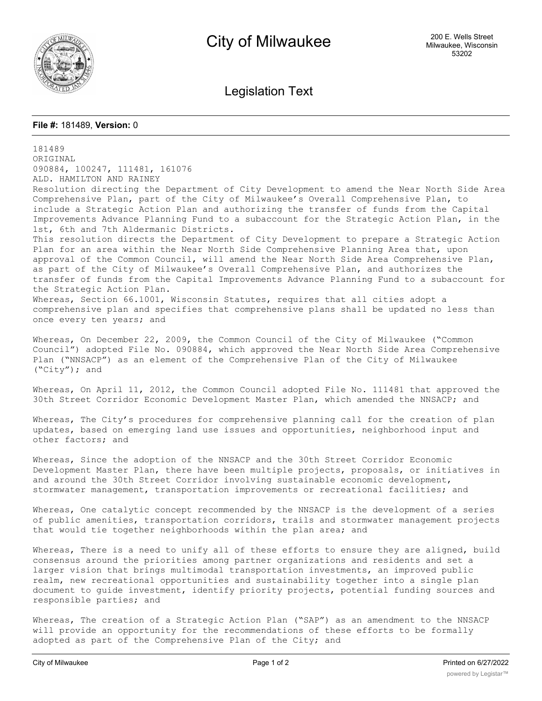

Legislation Text

## **File #:** 181489, **Version:** 0

181489 ORIGINAL 090884, 100247, 111481, 161076 ALD. HAMILTON AND RAINEY Resolution directing the Department of City Development to amend the Near North Side Area Comprehensive Plan, part of the City of Milwaukee's Overall Comprehensive Plan, to include a Strategic Action Plan and authorizing the transfer of funds from the Capital Improvements Advance Planning Fund to a subaccount for the Strategic Action Plan, in the 1st, 6th and 7th Aldermanic Districts. This resolution directs the Department of City Development to prepare a Strategic Action Plan for an area within the Near North Side Comprehensive Planning Area that, upon approval of the Common Council, will amend the Near North Side Area Comprehensive Plan, as part of the City of Milwaukee's Overall Comprehensive Plan, and authorizes the transfer of funds from the Capital Improvements Advance Planning Fund to a subaccount for the Strategic Action Plan. Whereas, Section 66.1001, Wisconsin Statutes, requires that all cities adopt a comprehensive plan and specifies that comprehensive plans shall be updated no less than once every ten years; and Whereas, On December 22, 2009, the Common Council of the City of Milwaukee ("Common Council") adopted File No. 090884, which approved the Near North Side Area Comprehensive Plan ("NNSACP") as an element of the Comprehensive Plan of the City of Milwaukee ("City"); and Whereas, On April 11, 2012, the Common Council adopted File No. 111481 that approved the 30th Street Corridor Economic Development Master Plan, which amended the NNSACP; and Whereas, The City's procedures for comprehensive planning call for the creation of plan updates, based on emerging land use issues and opportunities, neighborhood input and other factors; and Whereas, Since the adoption of the NNSACP and the 30th Street Corridor Economic Development Master Plan, there have been multiple projects, proposals, or initiatives in and around the 30th Street Corridor involving sustainable economic development, stormwater management, transportation improvements or recreational facilities; and Whereas, One catalytic concept recommended by the NNSACP is the development of a series of public amenities, transportation corridors, trails and stormwater management projects that would tie together neighborhoods within the plan area; and Whereas, There is a need to unify all of these efforts to ensure they are aligned, build consensus around the priorities among partner organizations and residents and set a larger vision that brings multimodal transportation investments, an improved public realm, new recreational opportunities and sustainability together into a single plan document to guide investment, identify priority projects, potential funding sources and responsible parties; and

Whereas, The creation of a Strategic Action Plan ("SAP") as an amendment to the NNSACP will provide an opportunity for the recommendations of these efforts to be formally adopted as part of the Comprehensive Plan of the City; and